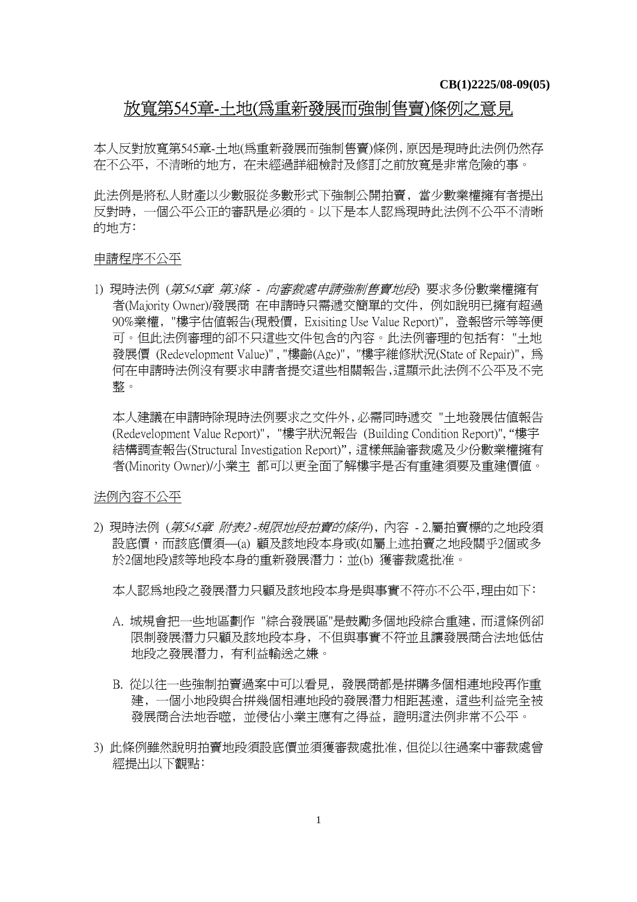## 放寬第545章-土地(為重新發展而強制售賣)條例之意見

本人反對放寬第545章-土地(為重新發展而強制售賣)條例﹐原因是現時此法例仍然存 在不公平﹐不清晰的地方﹐在未經過詳細檢討及修訂之前放寬是非常危險的事。

此法例是將私人財產以少數服從多數形式下強制公開拍賣﹐當少數業權擁有者提出 反對時﹐一個公平公正的審訊是必須的。以下是本人認為現時此法例不公平不清晰 的地方:

## 申請程序不公平

1) 現時法例 (第545章 第3條 - 向審裁處申請強制售賣地段) 要求多份數業權擁有 者(Majority Owner)/發展商 在申請時只需遞交簡單的文件﹐例如說明已擁有超過 90%業權﹐"樓宇估值報告(現殼價﹐Exisiting Use Value Report)"﹐登報啟示等等便 可。但此法例審理的卻不只這些文件包含的內容。此法例審理的包括有﹕"土地 發展價 (Redevelopment Value)", "樓齡(Age)", "樓宇維修狀況(State of Repair)", 為 何在申請時法例沒有要求申請者提交這些相關報告﹐這顯示此法例不公平及不完 整。

本人建議在申請時除現時法例要求之文件外﹐必需同時遞交 "土地發展估值報告 (Redevelopment Value Report)"﹐"樓宇狀況報告 (Building Condition Report)", "樓宇 結構調查報告(Structural Investigation Report)"﹐這樣無論審裁處及少份數業權擁有 者(Minority Owner)/小業主 都可以更全面了解樓宇是否有重建須要及重建價值。

## 法例內容不公平

2) 現時法例 (第545章 附表2 -規限地段拍賣的條件)﹐內容 - 2.屬拍賣標的之地段須 設底價,而該底價須—(a) 顧及該地段本身或(如屬上述拍賣之地段關乎2個或多 於2個地段)該等地段本身的重新發展潛力;並(b) 獲審裁處批准。

本人認爲地段之發展潛力只顧及該地段本身是與事實不符亦不公平,理由如下:

- A. 城規會把一些地區劃作 "綜合發展區"是鼓勵多個地段綜合重建﹐而這條例卻 限制發展潛力只顧及該地段本身﹐不但與事實不符並且讓發展商合法地低估 地段之發展潛力﹐有利益輸送之嫌。
- B. 從以往一些強制拍賣過案中可以看見﹐發展商都是拼購多個相連地段再作重 建﹐一個小地段與合拼幾個相連地段的發展潛力相距甚遠﹐這些利益完全被 發展商合法地吞噬﹐並侵佔小業主應有之得益﹐證明這法例非常不公平。
- 3) 此條例雖然說明拍賣地段須設底價並須獲審裁處批准﹐但從以往過案中審裁處曾 經提出以下觀點﹕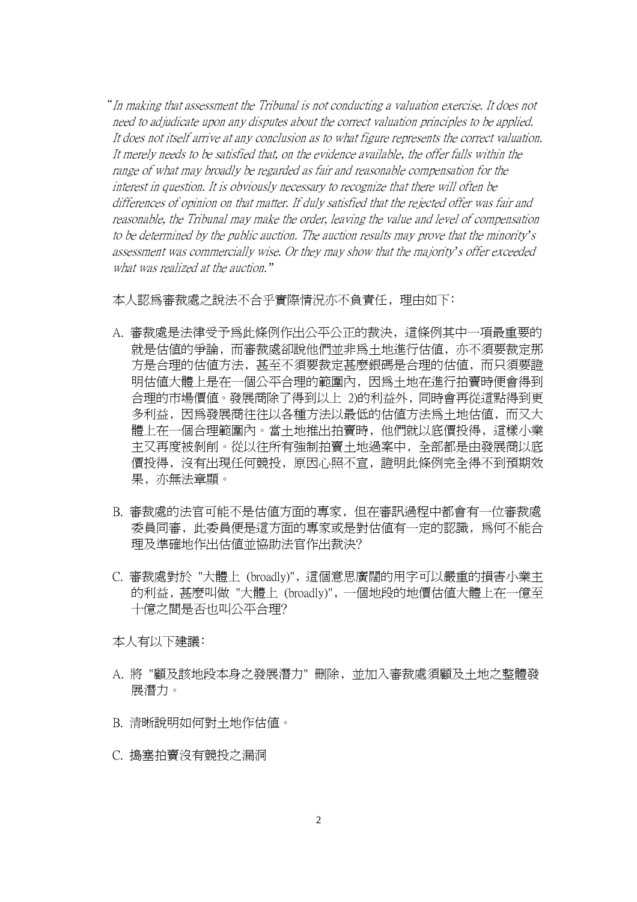"In making that assessment the Tribunal is not conducting a valuation exercise. It does not need to adjudicate upon any disputes about the correct valuation principles to be applied. It does not itself arrive at any conclusion as to what figure represents the correct valuation. It merely needs to be satisfied that, on the evidence available, the offer falls within the range of what may broadly be regarded as fair and reasonable compensation for the interest in question. It is obviously necessary to recognize that there will often be differences of opinion on that matter. If duly satisfied that the rejected offer was fair and reasonable, the Tribunal may make the order, leaving the value and level of compensation to be determined by the public auction. The auction results may prove that the minority*'*<sup>s</sup> assessment was commercially wise. Or they may show that the majority*'*s offer exceeded what was realized at the auction.*"*

本人認為審裁處之說法不合乎實際情況亦不負責任, 理由如下:

- A. 審裁處是法律受予為此條例作出公平公正的裁決﹐這條例其中一項最重要的 就是估值的爭論﹐而審裁處卻說他們並非為土地進行估值﹐亦不須要裁定那 方是合理的估值方法﹐甚至不須要裁定甚麼銀碼是合理的估值﹐而只須要證 明估值大體上是在一個公平合理的範圍內﹐因為土地在進行拍賣時便會得到 合理的市場價值。發展商除了得到以上 2)的利益外﹐同時會再從這點得到更 多利益,因為發展商往往以各種方法以最低的估值方法為土地估值,而又大 體上在一個合理範圍內。當土地推出拍賣時﹐他們就以底價投得﹐這樣小業 主又再度被剝削。從以往所有強制拍賣土地過案中﹐全部都是由發展商以底 價投得﹐沒有出現任何競投﹐原因心照不宣﹐證明此條例完全得不到預期效 果﹐亦無法章顯。
- B. 審裁處的法官可能不是估值方面的專家﹐但在審訊過程中都會有一位審裁處 委員同審﹐此委員便是這方面的專家或是對估值有一定的認識﹐為何不能合 理及進確地作出估值並協助法官作出裁決?
- C. 審裁處對於 "大體上 (broadly)"﹐這個意思廣闊的用字可以嚴重的損害小業主 的利益﹐甚麼叫做 "大體上 (broadly)"﹐一個地段的地價估值大體上在一億至 十億之間是否也叫公平合理﹖

本人有以下建議﹕

- A. 將 "顧及該地段本身之發展潛力" 刪除﹐並加入審裁處須顧及土地之整體發 展潛力。
- B. 清晰說明如何對土地作估值。
- C. 搗塞拍賣沒有競投之漏洞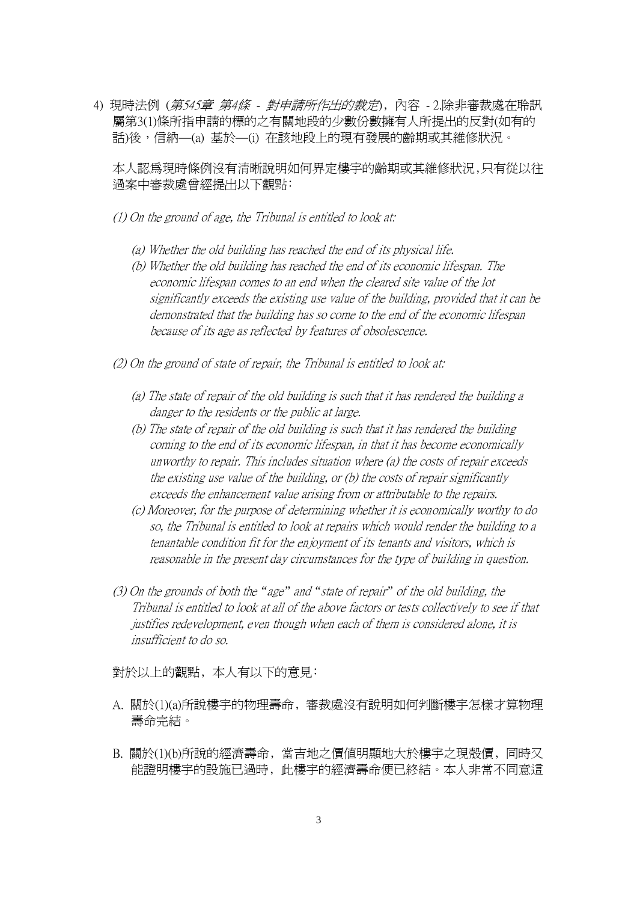4) 現時法例 (第545章 第4條 - 對申請所作出的裁定)﹐內容 - 2.除非審裁處在聆訊 屬第3(1)條所指申請的標的之有關地段的少數份數擁有人所提出的反對(如有的 話)後,信納—(a) 基於—(i) 在該地段上的現有發展的齡期或其維修狀況。

本人認為現時條例沒有清晰說明如何界定樓宇的齡期或其維修狀況﹐只有從以往 過案中審裁處曾經提出以下觀點﹕

- (1) On the ground of age, the Tribunal is entitled to look at:
	- (a) Whether the old building has reached the end of its physical life.
	- (b) Whether the old building has reached the end of its economic lifespan. The economic lifespan comes to an end when the cleared site value of the lot significantly exceeds the existing use value of the building, provided that it can be demonstrated that the building has so come to the end of the economic lifespan because of its age as reflected by features of obsolescence.
- (2) On the ground of state of repair, the Tribunal is entitled to look at:
	- (a) The state of repair of the old building is such that it has rendered the building a danger to the residents or the public at large.
	- (b) The state of repair of the old building is such that it has rendered the building coming to the end of its economic lifespan, in that it has become economically unworthy to repair. This includes situation where (a) the costs of repair exceeds the existing use value of the building, or (b) the costs of repair significantly exceeds the enhancement value arising from or attributable to the repairs.
	- (c) Moreover, for the purpose of determining whether it is economically worthy to do so, the Tribunal is entitled to look at repairs which would render the building to a tenantable condition fit for the enjoyment of its tenants and visitors, which is reasonable in the present day circumstances for the type of building in question.
- (3) On the grounds of both the *"*age*"* and *"*state of repair*"* of the old building, the Tribunal is entitled to look at all of the above factors or tests collectively to see if that justifies redevelopment, even though when each of them is considered alone, it is insufficient to do so.

對於以上的觀點,本人有以下的意見:

- A. 關於(1)(a)所說樓宇的物理壽命﹐審裁處沒有說明如何判斷樓宇怎樣才算物理 壽命完結。
- B. 關於(1)(b)所說的經濟壽命﹐當吉地之價值明顯地大於樓宇之現殼價﹐同時又 能證明樓宇的設施已過時﹐此樓宇的經濟壽命便已終結。本人非常不同意這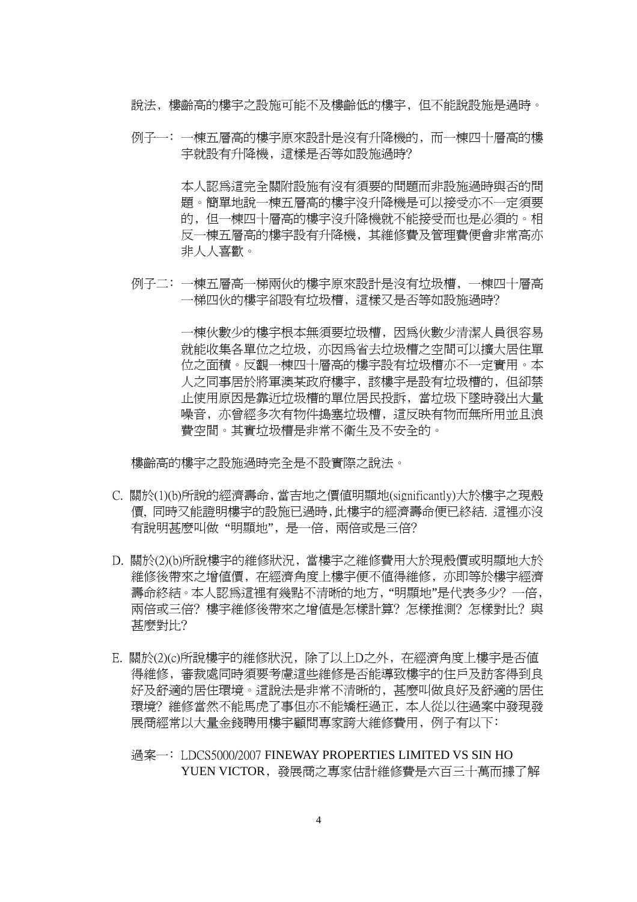說法﹐樓齡高的樓宇之設施可能不及樓齡低的樓宇﹐但不能說設施是過時。

例子一:一棟五層高的樓宇原來設計是沒有升降機的,而一棟四十層高的樓 宇就設有升降機﹐這樣是否等如設施過時﹖

> 本人認為這完全關附設施有沒有須要的問題而非設施過時與否的問 題。簡單地說一棟五層高的樓宇沒升降機是可以接受亦不一定須要 的﹐但一棟四十層高的樓宇沒升降機就不能接受而也是必須的。相 反一棟五層高的樓宇設有升降機﹐其維修費及管理費便會非常高亦 非人人喜歡。

例子二﹕一棟五層高一梯兩伙的樓宇原來設計是沒有垃圾槽﹐一棟四十層高 一梯四伙的樓宇卻設有垃圾槽, 這樣又是否等如設施過時?

> 一棟伙數少的樓宇根本無須要垃圾槽﹐因為伙數少清潔人員很容易 就能收集各單位之垃圾,亦因為省去垃圾槽之空間可以擴大居住單 位之面積。反觀一棟四十層高的樓宇設有垃圾槽亦不一定實用。本 人之同事居於將軍澳某政府樓宇﹐該樓宇是設有垃圾槽的﹐但卻禁 止使用原因是靠近垃圾槽的單位居民投訴﹐當垃圾下墜時發出大量 噪音, 亦曾經多次有物件搗塞垃圾槽, 這反映有物而無所用並且浪 費空間。其實垃圾槽是非常不衛生及不安全的。

樓齡高的樓宇之設施過時完全是不設實際之說法。

- C. 關於(1)(b)所說的經濟壽命﹐當吉地之價值明顯地(significantly)大於樓宇之現殼 價, 同時又能證明樓宇的設施已過時﹐此樓宇的經濟壽命便已終結. 這裡亦沒 有說明甚麼叫做 "明顯地"﹐是一倍﹐兩倍或是三倍﹖
- D. 關於(2)(b)所說樓宇的維修狀況﹐當樓宇之維修費用大於現殼價或明顯地大於 維修後帶來之增值價﹐在經濟角度上樓宇便不值得維修﹐亦即等於樓宇經濟 壽命終結。本人認爲這裡有幾點不清晰的地方, "明顯地"是代表多少? 一倍, 兩倍或三倍? 樓宇維修後帶來之增值是怎樣計算? 怎樣推測? 怎樣對比? 與 甚麼對比﹖
- E. 關於(2)(c)所說樓宇的維修狀況﹐除了以上D之外﹐在經濟角度上樓宇是否值 得維修﹐審裁處同時須要考慮這些維修是否能導致樓宇的住戶及訪客得到良 好及舒適的居住環境。這說法是非常不清晰的﹐甚麼叫做良好及舒適的居住 環境? 維修當然不能馬虎了事但亦不能矯枉過正,本人從以往過案中發現發 展商經常以大量金錢聘用樓宇顧問專家誇大維修費用, 例子有以下:
	- 過案一﹕LDCS5000/2007 FINEWAY PROPERTIES LIMITED VS SIN HO YUEN VICTOR﹐發展商之專家估計維修費是六百三十萬而據了解